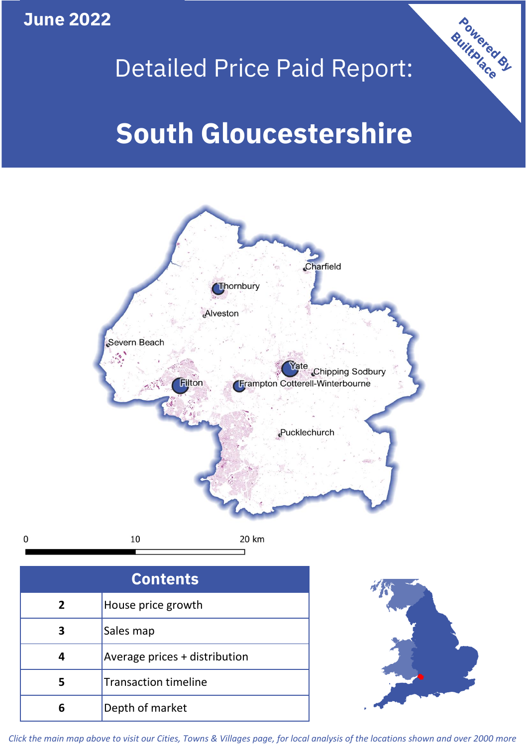**June 2022**

**5**

**4**

 $\mathbf 0$ 

# Detailed Price Paid Report:

Powered By

# **South Gloucestershire**



*Click the main map above to visit our Cities, Towns & Villages page, for local analysis of the locations shown and over 2000 more*

Average prices + distribution

Transaction timeline

**6** Depth of market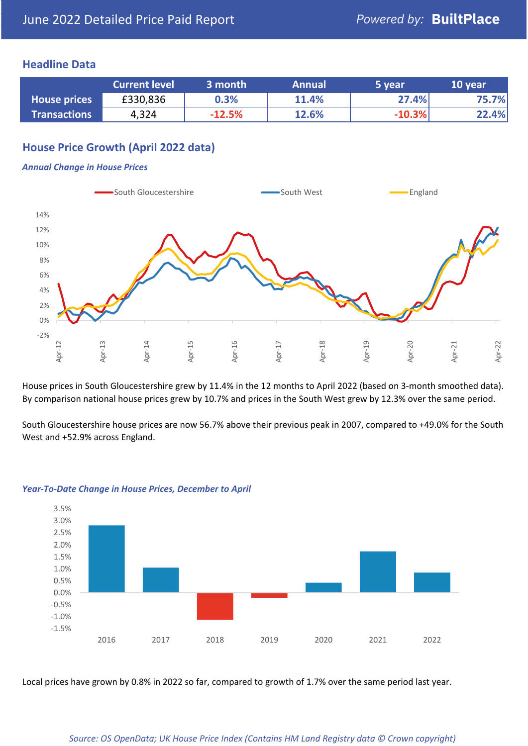#### **Headline Data**

|                     | <b>Current level</b> | 3 month  | <b>Annual</b> | '5 year  | 10 year |
|---------------------|----------------------|----------|---------------|----------|---------|
| <b>House prices</b> | £330,836             | 0.3%     | 11.4%         | 27.4%    | 75.7%   |
| <b>Transactions</b> | 4,324                | $-12.5%$ | 12.6%         | $-10.3%$ | 22.4%   |

# **House Price Growth (April 2022 data)**

#### *Annual Change in House Prices*



House prices in South Gloucestershire grew by 11.4% in the 12 months to April 2022 (based on 3-month smoothed data). By comparison national house prices grew by 10.7% and prices in the South West grew by 12.3% over the same period.

South Gloucestershire house prices are now 56.7% above their previous peak in 2007, compared to +49.0% for the South West and +52.9% across England.



#### *Year-To-Date Change in House Prices, December to April*

Local prices have grown by 0.8% in 2022 so far, compared to growth of 1.7% over the same period last year.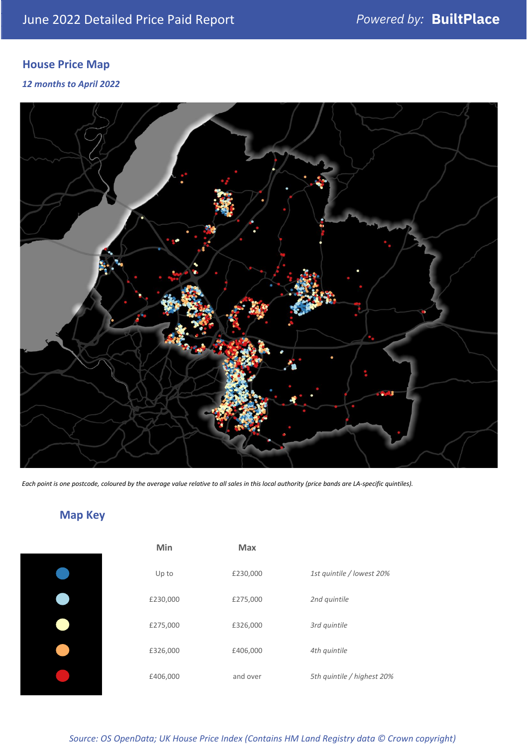# **House Price Map**

*12 months to April 2022*



*Each point is one postcode, coloured by the average value relative to all sales in this local authority (price bands are LA-specific quintiles).*

# **Map Key**

| Min      | <b>Max</b> |                            |
|----------|------------|----------------------------|
| Up to    | £230,000   | 1st quintile / lowest 20%  |
| £230,000 | £275,000   | 2nd quintile               |
| £275,000 | £326,000   | 3rd quintile               |
| £326,000 | £406,000   | 4th quintile               |
| £406,000 | and over   | 5th quintile / highest 20% |

*Source: OS OpenData; UK House Price Index (Contains HM Land Registry data © Crown copyright)*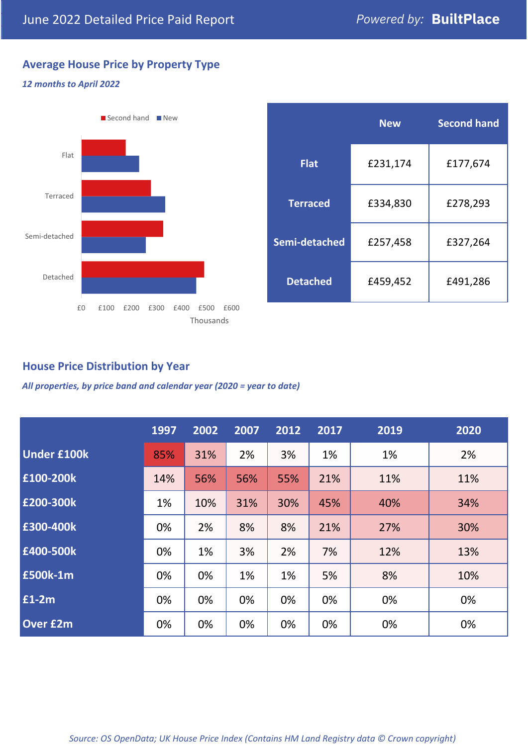# **Average House Price by Property Type**

#### *12 months to April 2022*



|                 | <b>New</b> | <b>Second hand</b> |  |  |
|-----------------|------------|--------------------|--|--|
| <b>Flat</b>     | £231,174   | £177,674           |  |  |
| <b>Terraced</b> | £334,830   | £278,293           |  |  |
| Semi-detached   | £257,458   | £327,264           |  |  |
| <b>Detached</b> | £459,452   | £491,286           |  |  |

### **House Price Distribution by Year**

*All properties, by price band and calendar year (2020 = year to date)*

|                    | 1997 | 2002 | 2007 | 2012 | 2017 | 2019 | 2020 |
|--------------------|------|------|------|------|------|------|------|
| <b>Under £100k</b> | 85%  | 31%  | 2%   | 3%   | 1%   | 1%   | 2%   |
| £100-200k          | 14%  | 56%  | 56%  | 55%  | 21%  | 11%  | 11%  |
| E200-300k          | 1%   | 10%  | 31%  | 30%  | 45%  | 40%  | 34%  |
| £300-400k          | 0%   | 2%   | 8%   | 8%   | 21%  | 27%  | 30%  |
| £400-500k          | 0%   | 1%   | 3%   | 2%   | 7%   | 12%  | 13%  |
| <b>£500k-1m</b>    | 0%   | 0%   | 1%   | 1%   | 5%   | 8%   | 10%  |
| £1-2m              | 0%   | 0%   | 0%   | 0%   | 0%   | 0%   | 0%   |
| <b>Over £2m</b>    | 0%   | 0%   | 0%   | 0%   | 0%   | 0%   | 0%   |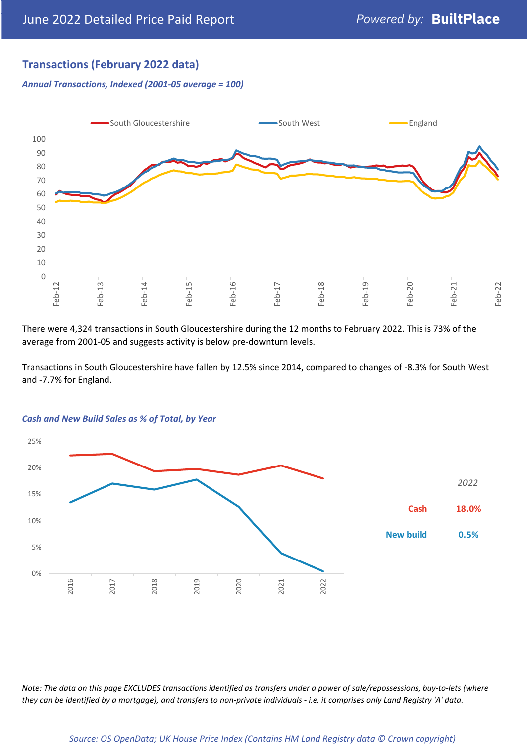# **Transactions (February 2022 data)**

*Annual Transactions, Indexed (2001-05 average = 100)*



There were 4,324 transactions in South Gloucestershire during the 12 months to February 2022. This is 73% of the average from 2001-05 and suggests activity is below pre-downturn levels.

Transactions in South Gloucestershire have fallen by 12.5% since 2014, compared to changes of -8.3% for South West and -7.7% for England.



#### *Cash and New Build Sales as % of Total, by Year*

*Note: The data on this page EXCLUDES transactions identified as transfers under a power of sale/repossessions, buy-to-lets (where they can be identified by a mortgage), and transfers to non-private individuals - i.e. it comprises only Land Registry 'A' data.*